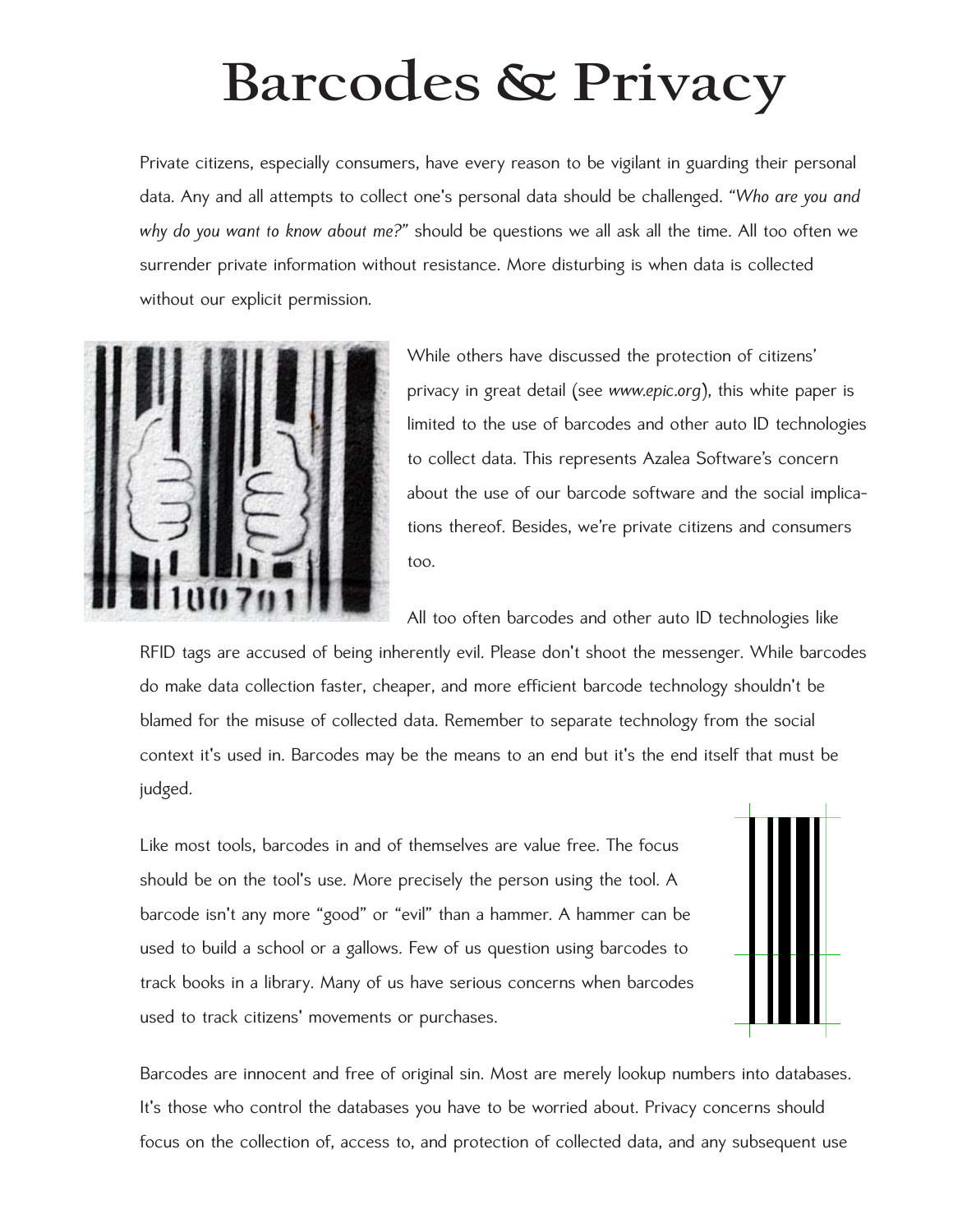## **Barcodes & Privacy**

Private citizens, especially consumers, have every reason to be vigilant in guarding their personal data. Any and all attempts to collect one's personal data should be challenged. *"Who are you and why do you want to know about me?"* should be questions we all ask all the time. All too often we surrender private information without resistance. More disturbing is when data is collected without our explicit permission.



While others have discussed the protection of citizens' privacy in great detail (see *[www.epic.org](http://www.epic.org)*), this white paper is limited to the use of barcodes and other auto ID technologies to collect data. This represents Azalea Software's concern about the use of our barcode software and the social implications thereof. Besides, we're private citizens and consumers too.

All too often barcodes and other auto ID technologies like

RFID tags are accused of being inherently evil. Please don't shoot the messenger. While barcodes do make data collection faster, cheaper, and more efficient barcode technology shouldn't be blamed for the misuse of collected data. Remember to separate technology from the social context it's used in. Barcodes may be the means to an end but it's the end itself that must be judged.

Like most tools, barcodes in and of themselves are value free. The focus should be on the tool's use. More precisely the person using the tool. A barcode isn't any more "good" or "evil" than a hammer. A hammer can be used to build a school or a gallows. Few of us question using barcodes to track books in a library. Many of us have serious concerns when barcodes used to track citizens' movements or purchases.



Barcodes are innocent and free of original sin. Most are merely lookup numbers into databases. It's those who control the databases you have to be worried about. Privacy concerns should focus on the collection of, access to, and protection of collected data, and any subsequent use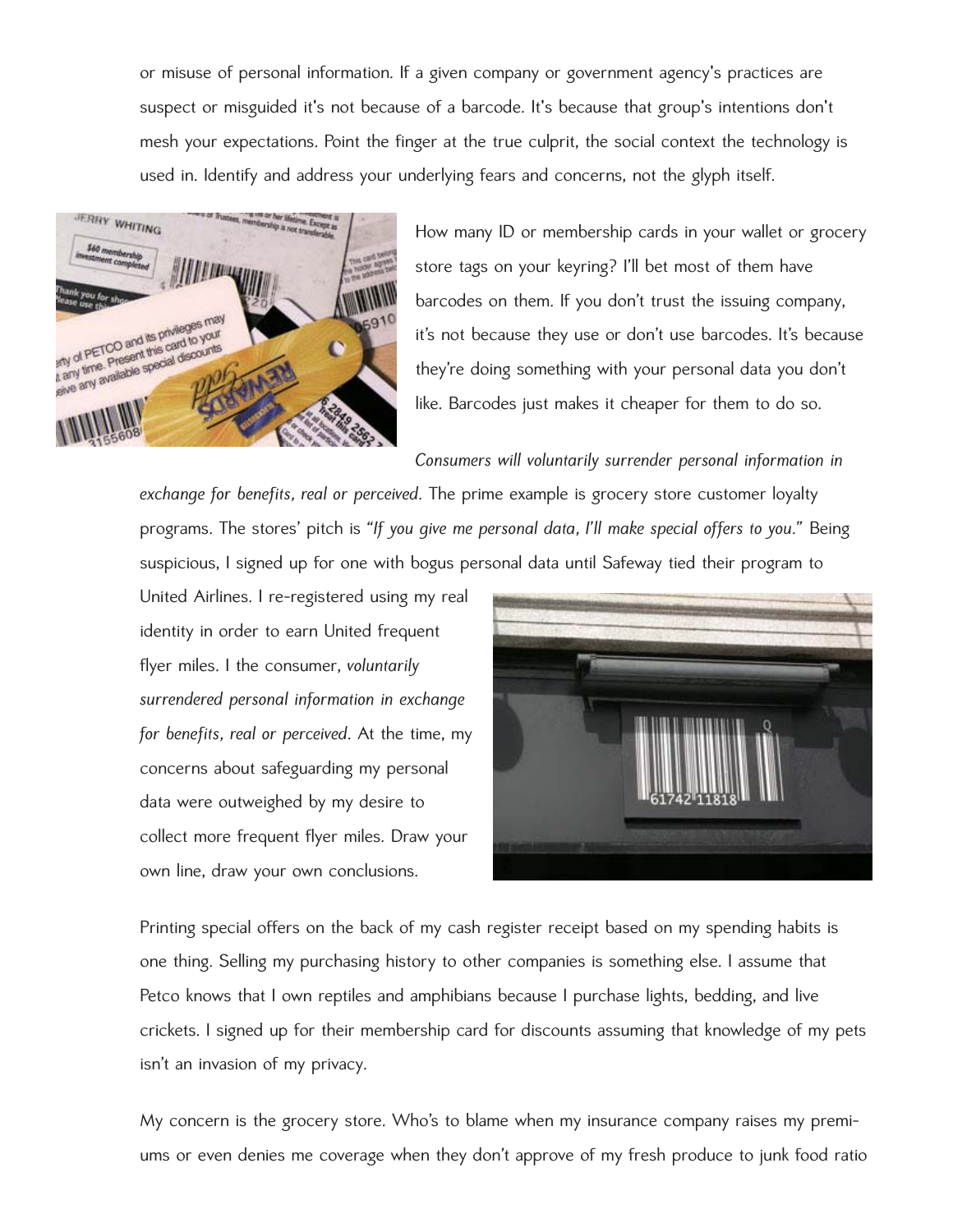or misuse of personal information. If a given company or government agency's practices are suspect or misguided it's not because of a barcode. It's because that group's intentions don't mesh your expectations. Point the finger at the true culprit, the social context the technology is used in. Identify and address your underlying fears and concerns, not the glyph itself.



How many ID or membership cards in your wallet or grocery store tags on your keyring? I'll bet most of them have barcodes on them. If you don't trust the issuing company, it's not because they use or don't use barcodes. It's because they're doing something with your personal data you don't like. Barcodes just makes it cheaper for them to do so.

*Consumers will voluntarily surrender personal information in*

*exchange for benefits, real or perceived.* The prime example is grocery store customer loyalty programs. The stores' pitch is *"If you give me personal data, I'll make special offers to you."* Being suspicious, I signed up for one with bogus personal data until Safeway tied their program to

United Airlines. I re-registered using my real identity in order to earn United frequent flyer miles. I the consumer, *voluntarily surrendered personal information in exchange for benefits, real or perceived*. At the time, my concerns about safeguarding my personal data were outweighed by my desire to collect more frequent flyer miles. Draw your own line, draw your own conclusions.



Printing special offers on the back of my cash register receipt based on my spending habits is one thing. Selling my purchasing history to other companies is something else. I assume that Petco knows that I own reptiles and amphibians because I purchase lights, bedding, and live crickets. I signed up for their membership card for discounts assuming that knowledge of my pets isn't an invasion of my privacy.

My concern is the grocery store. Who's to blame when my insurance company raises my premiums or even denies me coverage when they don't approve of my fresh produce to junk food ratio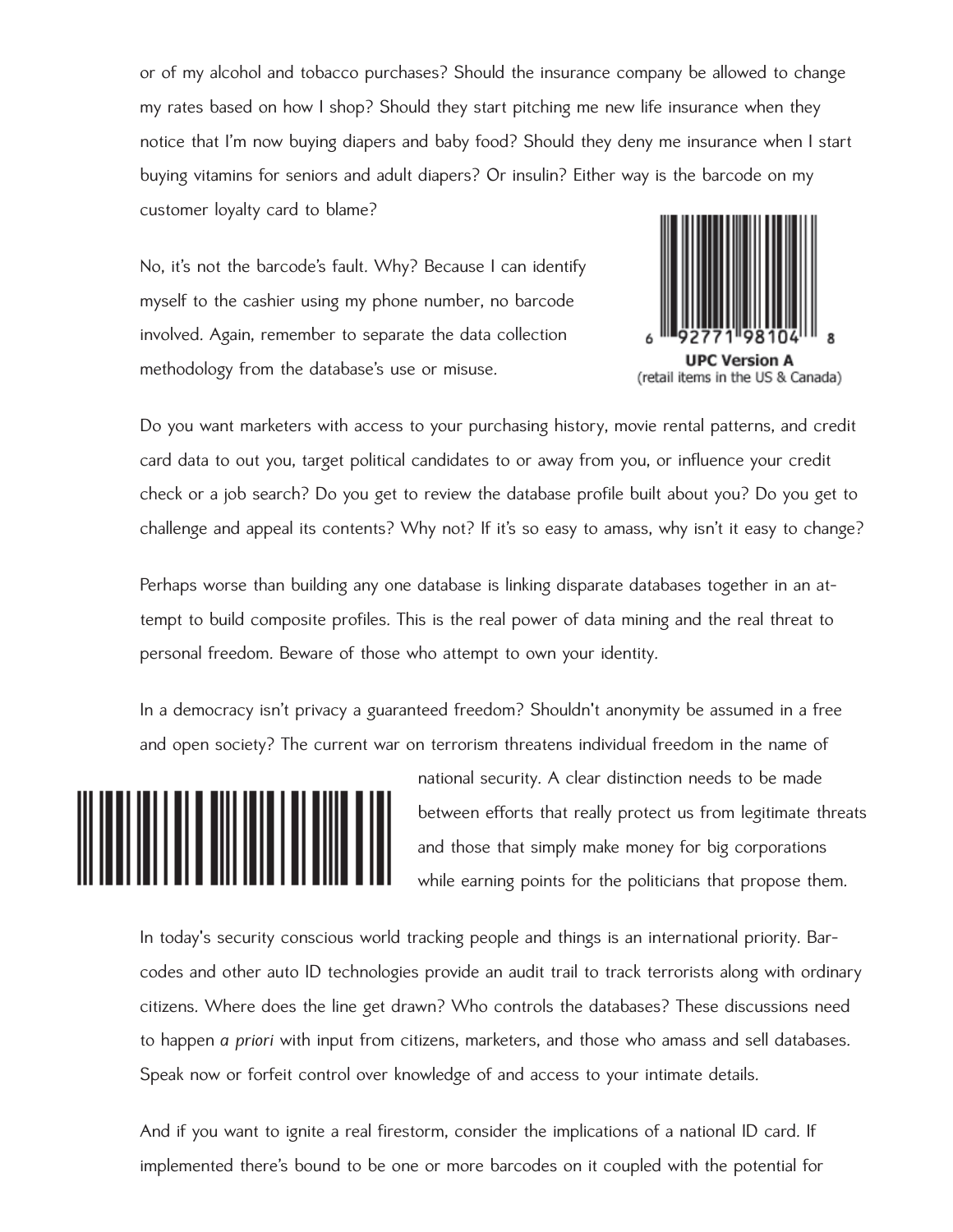or of my alcohol and tobacco purchases? Should the insurance company be allowed to change my rates based on how I shop? Should they start pitching me new life insurance when they notice that I'm now buying diapers and baby food? Should they deny me insurance when I start buying vitamins for seniors and adult diapers? Or insulin? Either way is the barcode on my customer loyalty card to blame?

No, it's not the barcode's fault. Why? Because I can identify myself to the cashier using my phone number, no barcode involved. Again, remember to separate the data collection methodology from the database's use or misuse.



(retail items in the US & Canada)

Do you want marketers with access to your purchasing history, movie rental patterns, and credit card data to out you, target political candidates to or away from you, or influence your credit check or a job search? Do you get to review the database profile built about you? Do you get to challenge and appeal its contents? Why not? If it's so easy to amass, why isn't it easy to change?

Perhaps worse than building any one database is linking disparate databases together in an attempt to build composite profiles. This is the real power of data mining and the real threat to personal freedom. Beware of those who attempt to own your identity.

In a democracy isn't privacy a guaranteed freedom? Shouldn't anonymity be assumed in a free and open society? The current war on terrorism threatens individual freedom in the name of



national security. A clear distinction needs to be made between efforts that really protect us from legitimate threats and those that simply make money for big corporations while earning points for the politicians that propose them.

In today's security conscious world tracking people and things is an international priority. Barcodes and other auto ID technologies provide an audit trail to track terrorists along with ordinary citizens. Where does the line get drawn? Who controls the databases? These discussions need to happen *a priori* with input from citizens, marketers, and those who amass and sell databases. Speak now or forfeit control over knowledge of and access to your intimate details.

And if you want to ignite a real firestorm, consider the implications of a national ID card. If implemented there's bound to be one or more barcodes on it coupled with the potential for